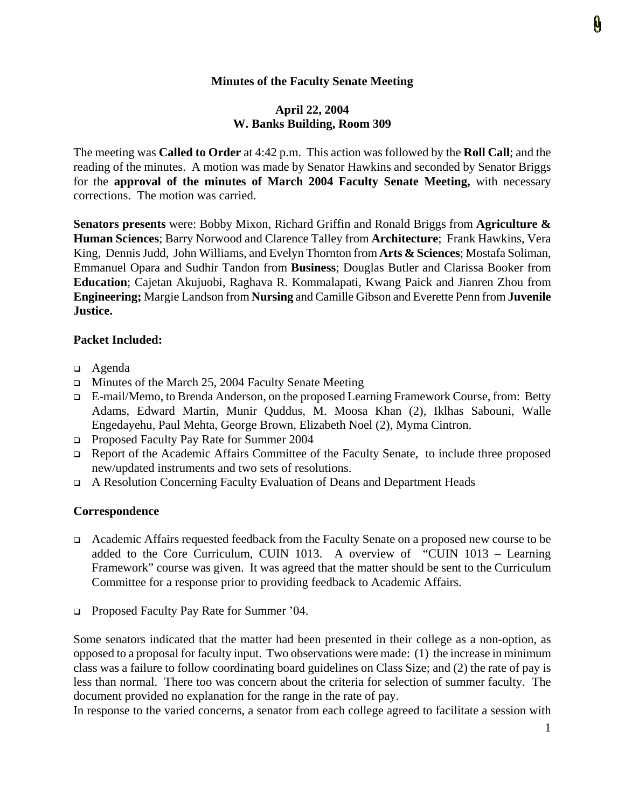# **Minutes of the Faculty Senate Meeting**

### **April 22, 2004 W. Banks Building, Room 309**

The meeting was **Called to Order** at 4:42 p.m. This action was followed by the **Roll Call**; and the reading of the minutes. A motion was made by Senator Hawkins and seconded by Senator Briggs for the **approval of the minutes of March 2004 Faculty Senate Meeting,** with necessary corrections. The motion was carried.

**Senators presents** were: Bobby Mixon, Richard Griffin and Ronald Briggs from **Agriculture & Human Sciences**; Barry Norwood and Clarence Talley from **Architecture**; Frank Hawkins, Vera King, Dennis Judd, John Williams, and Evelyn Thornton from **Arts & Sciences**; Mostafa Soliman, Emmanuel Opara and Sudhir Tandon from **Business**; Douglas Butler and Clarissa Booker from **Education**; Cajetan Akujuobi, Raghava R. Kommalapati, Kwang Paick and Jianren Zhou from **Engineering;** Margie Landson from **Nursing** and Camille Gibson and Everette Penn from **Juvenile Justice.** 

### **Packet Included:**

- Agenda
- $\Box$  Minutes of the March 25, 2004 Faculty Senate Meeting
- E-mail/Memo, to Brenda Anderson, on the proposed Learning Framework Course, from: Betty Adams, Edward Martin, Munir Quddus, M. Moosa Khan (2), Iklhas Sabouni, Walle Engedayehu, Paul Mehta, George Brown, Elizabeth Noel (2), Myma Cintron.
- Proposed Faculty Pay Rate for Summer 2004
- Report of the Academic Affairs Committee of the Faculty Senate, to include three proposed new/updated instruments and two sets of resolutions.
- A Resolution Concerning Faculty Evaluation of Deans and Department Heads

#### **Correspondence**

- Academic Affairs requested feedback from the Faculty Senate on a proposed new course to be added to the Core Curriculum, CUIN 1013. A overview of "CUIN 1013 – Learning Framework" course was given. It was agreed that the matter should be sent to the Curriculum Committee for a response prior to providing feedback to Academic Affairs.
- □ Proposed Faculty Pay Rate for Summer '04.

Some senators indicated that the matter had been presented in their college as a non-option, as opposed to a proposal for faculty input. Two observations were made: (1) the increase in minimum class was a failure to follow coordinating board guidelines on Class Size; and (2) the rate of pay is less than normal. There too was concern about the criteria for selection of summer faculty. The document provided no explanation for the range in the rate of pay.

In response to the varied concerns, a senator from each college agreed to facilitate a session with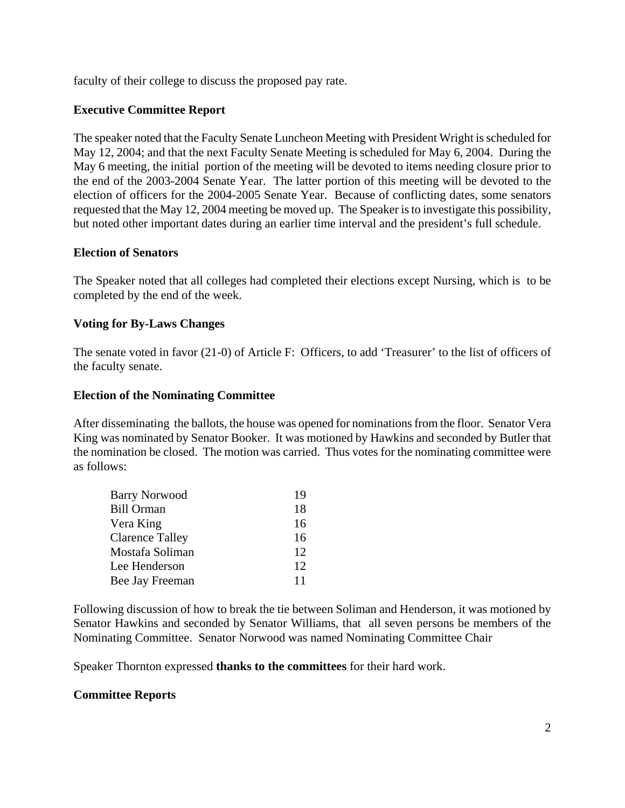faculty of their college to discuss the proposed pay rate.

### **Executive Committee Report**

The speaker noted that the Faculty Senate Luncheon Meeting with President Wright is scheduled for May 12, 2004; and that the next Faculty Senate Meeting is scheduled for May 6, 2004. During the May 6 meeting, the initial portion of the meeting will be devoted to items needing closure prior to the end of the 2003-2004 Senate Year. The latter portion of this meeting will be devoted to the election of officers for the 2004-2005 Senate Year. Because of conflicting dates, some senators requested that the May 12, 2004 meeting be moved up. The Speaker is to investigate this possibility, but noted other important dates during an earlier time interval and the president's full schedule.

#### **Election of Senators**

The Speaker noted that all colleges had completed their elections except Nursing, which is to be completed by the end of the week.

### **Voting for By-Laws Changes**

The senate voted in favor (21-0) of Article F: Officers, to add 'Treasurer' to the list of officers of the faculty senate.

### **Election of the Nominating Committee**

After disseminating the ballots, the house was opened for nominations from the floor. Senator Vera King was nominated by Senator Booker. It was motioned by Hawkins and seconded by Butler that the nomination be closed. The motion was carried. Thus votes for the nominating committee were as follows:

| <b>Barry Norwood</b> | 19 |
|----------------------|----|
| <b>Bill Orman</b>    | 18 |
| Vera King            | 16 |
| Clarence Talley      | 16 |
| Mostafa Soliman      | 12 |
| Lee Henderson        | 12 |
| Bee Jay Freeman      | 11 |
|                      |    |

Following discussion of how to break the tie between Soliman and Henderson, it was motioned by Senator Hawkins and seconded by Senator Williams, that all seven persons be members of the Nominating Committee. Senator Norwood was named Nominating Committee Chair

Speaker Thornton expressed **thanks to the committees** for their hard work.

#### **Committee Reports**